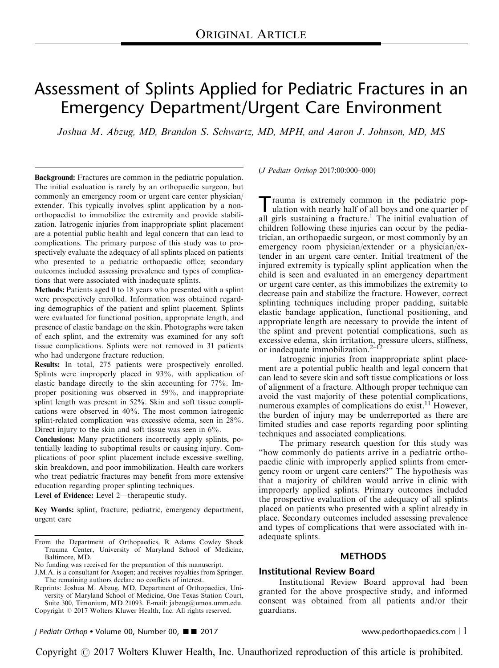# Assessment of Splints Applied for Pediatric Fractures in an Emergency Department/Urgent Care Environment

Joshua M. Abzug, MD, Brandon S. Schwartz, MD, MPH, and Aaron J. Johnson, MD, MS

Background: Fractures are common in the pediatric population. The initial evaluation is rarely by an orthopaedic surgeon, but commonly an emergency room or urgent care center physician/ extender. This typically involves splint application by a nonorthopaedist to immobilize the extremity and provide stabilization. Iatrogenic injuries from inappropriate splint placement are a potential public health and legal concern that can lead to complications. The primary purpose of this study was to prospectively evaluate the adequacy of all splints placed on patients who presented to a pediatric orthopaedic office; secondary outcomes included assessing prevalence and types of complications that were associated with inadequate splints.

Methods: Patients aged 0 to 18 years who presented with a splint were prospectively enrolled. Information was obtained regarding demographics of the patient and splint placement. Splints were evaluated for functional position, appropriate length, and presence of elastic bandage on the skin. Photographs were taken of each splint, and the extremity was examined for any soft tissue complications. Splints were not removed in 31 patients who had undergone fracture reduction.

Results: In total, 275 patients were prospectively enrolled. Splints were improperly placed in 93%, with application of elastic bandage directly to the skin accounting for 77%. Improper positioning was observed in 59%, and inappropriate splint length was present in 52%. Skin and soft tissue complications were observed in 40%. The most common iatrogenic splint-related complication was excessive edema, seen in 28%. Direct injury to the skin and soft tissue was seen in 6%.

Conclusions: Many practitioners incorrectly apply splints, potentially leading to suboptimal results or causing injury. Complications of poor splint placement include excessive swelling, skin breakdown, and poor immobilization. Health care workers who treat pediatric fractures may benefit from more extensive education regarding proper splinting techniques.

Level of Evidence: Level 2—therapeutic study.

Key Words: splint, fracture, pediatric, emergency department, urgent care

Copyright © 2017 Wolters Kluwer Health, Inc. All rights reserved.

J Pediatr Orthop • Volume 00, Number 00, ■ ■ 2017 www.pedorthopaedics.com | 1

(J Pediatr Orthop 2017;00:000–000)

Trauma is extremely common in the pediatric pop-<br>ulation with nearly half of all boys and one quarter of all girls sustaining a fracture.<sup>[1](#page-8-0)</sup> The initial evaluation of children following these injuries can occur by the pediatrician, an orthopaedic surgeon, or most commonly by an emergency room physician/extender or a physician/extender in an urgent care center. Initial treatment of the injured extremity is typically splint application when the child is seen and evaluated in an emergency department or urgent care center, as this immobilizes the extremity to decrease pain and stabilize the fracture. However, correct splinting techniques including proper padding, suitable elastic bandage application, functional positioning, and appropriate length are necessary to provide the intent of the splint and prevent potential complications, such as excessive edema, skin irritation, pressure ulcers, stiffness, or inadequate immobilization. $2-\sqrt{12}$ 

Iatrogenic injuries from inappropriate splint placement are a potential public health and legal concern that can lead to severe skin and soft tissue complications or loss of alignment of a fracture. Although proper technique can avoid the vast majority of these potential complications, numerous examples of complications do exist.<sup>[11](#page-8-0)</sup> However, the burden of injury may be underreported as there are limited studies and case reports regarding poor splinting techniques and associated complications.

The primary research question for this study was "how commonly do patients arrive in a pediatric orthopaedic clinic with improperly applied splints from emergency room or urgent care centers?" The hypothesis was that a majority of children would arrive in clinic with improperly applied splints. Primary outcomes included the prospective evaluation of the adequacy of all splints placed on patients who presented with a splint already in place. Secondary outcomes included assessing prevalence and types of complications that were associated with inadequate splints.

# **METHODS**

#### Institutional Review Board

Institutional Review Board approval had been granted for the above prospective study, and informed consent was obtained from all patients and/or their guardians.

From the Department of Orthopaedics, R Adams Cowley Shock Trauma Center, University of Maryland School of Medicine, Baltimore, MD.

No funding was received for the preparation of this manuscript.

J.M.A. is a consultant for Axogen; and receives royalties from Springer. The remaining authors declare no conflicts of interest.

Reprints: Joshua M. Abzug, MD, Department of Orthopaedics, University of Maryland School of Medicine, One Texas Station Court, Suite 300, Timonium, MD 21093. E-mail: [jabzug@umoa.umm.edu](mailto:jabzug@umoa.umm.edu).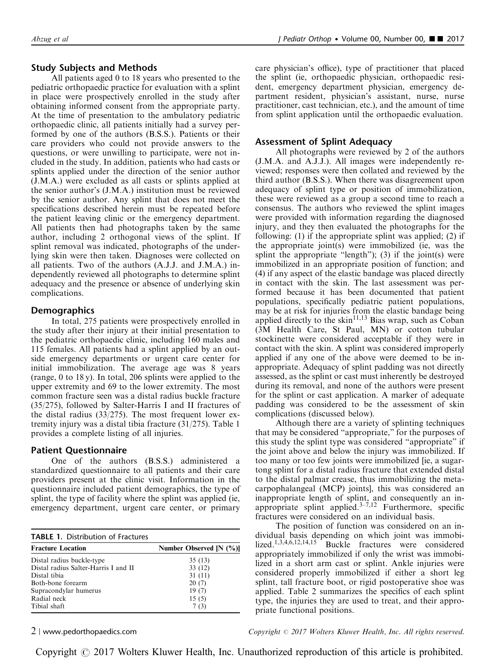# Study Subjects and Methods

All patients aged 0 to 18 years who presented to the pediatric orthopaedic practice for evaluation with a splint in place were prospectively enrolled in the study after obtaining informed consent from the appropriate party. At the time of presentation to the ambulatory pediatric orthopaedic clinic, all patients initially had a survey performed by one of the authors (B.S.S.). Patients or their care providers who could not provide answers to the questions, or were unwilling to participate, were not included in the study. In addition, patients who had casts or splints applied under the direction of the senior author (J.M.A.) were excluded as all casts or splints applied at the senior author's (J.M.A.) institution must be reviewed by the senior author. Any splint that does not meet the specifications described herein must be repeated before the patient leaving clinic or the emergency department. All patients then had photographs taken by the same author, including 2 orthogonal views of the splint. If splint removal was indicated, photographs of the underlying skin were then taken. Diagnoses were collected on all patients. Two of the authors (A.J.J. and J.M.A.) independently reviewed all photographs to determine splint adequacy and the presence or absence of underlying skin complications.

# **Demographics**

In total, 275 patients were prospectively enrolled in the study after their injury at their initial presentation to the pediatric orthopaedic clinic, including 160 males and 115 females. All patients had a splint applied by an outside emergency departments or urgent care center for initial immobilization. The average age was 8 years (range, 0 to 18 y). In total, 206 splints were applied to the upper extremity and 69 to the lower extremity. The most common fracture seen was a distal radius buckle fracture (35/275), followed by Salter-Harris I and II fractures of the distal radius (33/275). The most frequent lower extremity injury was a distal tibia fracture (31/275). Table 1 provides a complete listing of all injuries.

#### Patient Questionnaire

One of the authors (B.S.S.) administered a standardized questionnaire to all patients and their care providers present at the clinic visit. Information in the questionnaire included patient demographics, the type of splint, the type of facility where the splint was applied (ie, emergency department, urgent care center, or primary

| <b>TABLE 1. Distribution of Fractures</b> |                         |  |  |  |
|-------------------------------------------|-------------------------|--|--|--|
| <b>Fracture Location</b>                  | Number Observed [N (%)] |  |  |  |
| Distal radius buckle-type                 | 35(13)                  |  |  |  |
| Distal radius Salter-Harris I and II      | 33(12)                  |  |  |  |
| Distal tibia                              | 31(11)                  |  |  |  |
| Both-bone forearm                         | 20(7)                   |  |  |  |
| Supracondylar humerus                     | 19(7)                   |  |  |  |
| Radial neck                               | 15(5)                   |  |  |  |
| Tibial shaft                              | 7 (3)                   |  |  |  |

care physician's office), type of practitioner that placed the splint (ie, orthopaedic physician, orthopaedic resident, emergency department physician, emergency department resident, physician's assistant, nurse, nurse practitioner, cast technician, etc.), and the amount of time from splint application until the orthopaedic evaluation.

#### Assessment of Splint Adequacy

All photographs were reviewed by 2 of the authors (J.M.A. and A.J.J.). All images were independently reviewed; responses were then collated and reviewed by the third author (B.S.S.). When there was disagreement upon adequacy of splint type or position of immobilization, these were reviewed as a group a second time to reach a consensus. The authors who reviewed the splint images were provided with information regarding the diagnosed injury, and they then evaluated the photographs for the following: (1) if the appropriate splint was applied; (2) if the appropriate joint(s) were immobilized (ie, was the splint the appropriate "length"); (3) if the joint(s) were immobilized in an appropriate position of function; and (4) if any aspect of the elastic bandage was placed directly in contact with the skin. The last assessment was performed because it has been documented that patient populations, specifically pediatric patient populations, may be at risk for injuries from the elastic bandage being applied directly to the skin<sup>[11,13](#page-8-0)</sup> Bias wrap, such as Coban (3M Health Care, St Paul, MN) or cotton tubular stockinette were considered acceptable if they were in contact with the skin. A splint was considered improperly applied if any one of the above were deemed to be inappropriate. Adequacy of splint padding was not directly assessed, as the splint or cast must inherently be destroyed during its removal, and none of the authors were present for the splint or cast application. A marker of adequate padding was considered to be the assessment of skin complications (discussed below).

Although there are a variety of splinting techniques that may be considered "appropriate," for the purposes of this study the splint type was considered "appropriate" if the joint above and below the injury was immobilized. If too many or too few joints were immobilized [ie, a sugartong splint for a distal radius fracture that extended distal to the distal palmar crease, thus immobilizing the metacarpophalangeal (MCP) joints], this was considered an inappropriate length of splint, and consequently an inappropriate splint applied. $3-\frac{7}{12}$  Furthermore, specific fractures were considered on an individual basis.

The position of function was considered on an individual basis depending on which joint was immobilized.[1,3,4,6,12,14,15](#page-8-0) Buckle fractures were considered appropriately immobilized if only the wrist was immobilized in a short arm cast or splint. Ankle injuries were considered properly immobilized if either a short leg splint, tall fracture boot, or rigid postoperative shoe was applied. [Table 2](#page-2-0) summarizes the specifics of each splint type, the injuries they are used to treat, and their appropriate functional positions.

2 <sup>|</sup> www.pedorthopaedics.com Copyright <sup>r</sup> 2017 Wolters Kluwer Health, Inc. All rights reserved.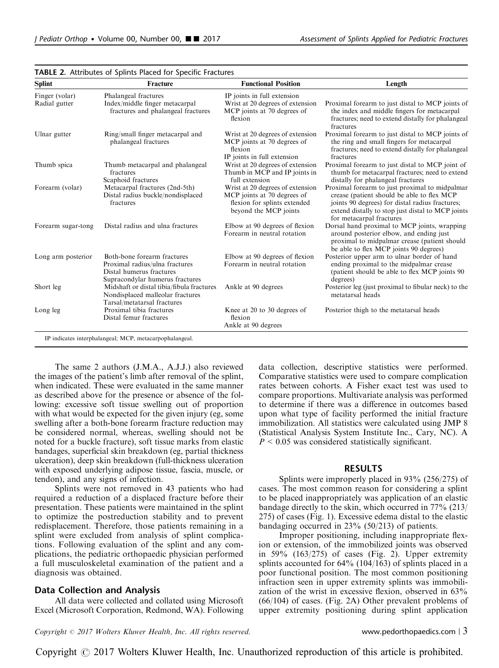| <b>Splint</b>                   | Fracture                                                                                                                     | <b>Functional Position</b>                                                                                               | Length                                                                                                                                                                                                                            |  |
|---------------------------------|------------------------------------------------------------------------------------------------------------------------------|--------------------------------------------------------------------------------------------------------------------------|-----------------------------------------------------------------------------------------------------------------------------------------------------------------------------------------------------------------------------------|--|
| Finger (volar)<br>Radial gutter | Phalangeal fractures<br>Index/middle finger metacarpal<br>fractures and phalangeal fractures                                 | IP joints in full extension<br>Wrist at 20 degrees of extension<br>MCP joints at 70 degrees of<br>flexion                | Proximal forearm to just distal to MCP joints of<br>the index and middle fingers for metacarpal<br>fractures; need to extend distally for phalangeal<br>fractures                                                                 |  |
| Ulnar gutter                    | Ring/small finger metacarpal and<br>phalangeal fractures                                                                     | Wrist at 20 degrees of extension<br>MCP joints at 70 degrees of<br>flexion<br>IP joints in full extension                | Proximal forearm to just distal to MCP joints of<br>the ring and small fingers for metacarpal<br>fractures; need to extend distally for phalangeal<br>fractures                                                                   |  |
| Thumb spica                     | Thumb metacarpal and phalangeal<br>fractures<br>Scaphoid fractures                                                           | Wrist at 20 degrees of extension<br>Thumb in MCP and IP joints in<br>full extension                                      | Proximal forearm to just distal to MCP joint of<br>thumb for metacarpal fractures; need to extend<br>distally for phalangeal fractures                                                                                            |  |
| Forearm (volar)                 | Metacarpal fractures (2nd-5th)<br>Distal radius buckle/nondisplaced<br>fractures                                             | Wrist at 20 degrees of extension<br>MCP joints at 70 degrees of<br>flexion for splints extended<br>beyond the MCP joints | Proximal forearm to just proximal to midpalmar<br>crease (patient should be able to flex MCP)<br>joints 90 degrees) for distal radius fractures;<br>extend distally to stop just distal to MCP joints<br>for metacarpal fractures |  |
| Forearm sugar-tong              | Distal radius and ulna fractures                                                                                             | Elbow at 90 degrees of flexion<br>Forearm in neutral rotation                                                            | Dorsal hand proximal to MCP joints, wrapping<br>around posterior elbow, and ending just<br>proximal to midpalmar crease (patient should<br>be able to flex MCP joints 90 degrees)                                                 |  |
| Long arm posterior              | Both-bone forearm fractures<br>Proximal radius/ulna fractures<br>Distal humerus fractures<br>Supracondylar humerus fractures | Elbow at 90 degrees of flexion<br>Forearm in neutral rotation                                                            | Posterior upper arm to ulnar border of hand<br>ending proximal to the midpalmar crease<br>(patient should be able to flex MCP joints 90)<br>degrees)                                                                              |  |
| Short leg                       | Midshaft or distal tibia/fibula fractures<br>Nondisplaced malleolar fractures<br>Tarsal/metatarsal fractures                 | Ankle at 90 degrees                                                                                                      | Posterior leg (just proximal to fibular neck) to the<br>metatarsal heads                                                                                                                                                          |  |
| Long leg                        | Proximal tibia fractures<br>Distal femur fractures                                                                           | Knee at 20 to 30 degrees of<br>flexion<br>Ankle at 90 degrees                                                            | Posterior thigh to the metatarsal heads                                                                                                                                                                                           |  |

<span id="page-2-0"></span>

| TABLE 2. Attributes of Splints Placed for Specific Fractures |
|--------------------------------------------------------------|
|--------------------------------------------------------------|

The same 2 authors (J.M.A., A.J.J.) also reviewed the images of the patient's limb after removal of the splint, when indicated. These were evaluated in the same manner as described above for the presence or absence of the following: excessive soft tissue swelling out of proportion with what would be expected for the given injury (eg, some swelling after a both-bone forearm fracture reduction may be considered normal, whereas, swelling should not be noted for a buckle fracture), soft tissue marks from elastic bandages, superficial skin breakdown (eg, partial thickness ulceration), deep skin breakdown (full-thickness ulceration with exposed underlying adipose tissue, fascia, muscle, or tendon), and any signs of infection.

Splints were not removed in 43 patients who had required a reduction of a displaced fracture before their presentation. These patients were maintained in the splint to optimize the postreduction stability and to prevent redisplacement. Therefore, those patients remaining in a splint were excluded from analysis of splint complications. Following evaluation of the splint and any complications, the pediatric orthopaedic physician performed a full musculoskeletal examination of the patient and a diagnosis was obtained.

# Data Collection and Analysis

All data were collected and collated using Microsoft Excel (Microsoft Corporation, Redmond, WA). Following data collection, descriptive statistics were performed. Comparative statistics were used to compare complication rates between cohorts. A Fisher exact test was used to compare proportions. Multivariate analysis was performed to determine if there was a difference in outcomes based upon what type of facility performed the initial fracture immobilization. All statistics were calculated using JMP 8 (Statistical Analysis System Institute Inc., Cary, NC). A  $P \leq 0.05$  was considered statistically significant.

#### RESULTS

Splints were improperly placed in 93% (256/275) of cases. The most common reason for considering a splint to be placed inappropriately was application of an elastic bandage directly to the skin, which occurred in 77% (213/ 275) of cases [\(Fig. 1\)](#page-3-0). Excessive edema distal to the elastic bandaging occurred in 23% (50/213) of patients.

Improper positioning, including inappropriate flexion or extension, of the immobilized joints was observed in  $59\%$  (163/275) of cases [\(Fig. 2](#page-3-0)). Upper extremity splints accounted for 64% (104/163) of splints placed in a poor functional position. The most common positioning infraction seen in upper extremity splints was immobilization of the wrist in excessive flexion, observed in 63% (66/104) of cases. [\(Fig. 2A\)](#page-3-0) Other prevalent problems of upper extremity positioning during splint application

 $Copyright © 2017 Wolters Kluwer Health, Inc. All rights reserved.$  www.pedorthopaedics.com  $\mid$  3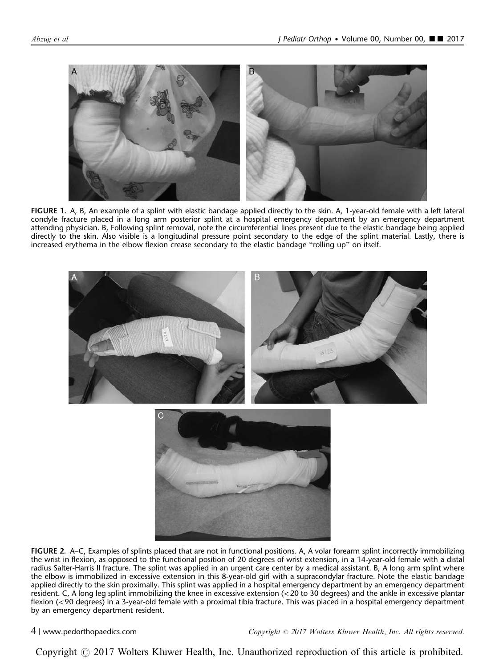<span id="page-3-0"></span>



FIGURE 1. A, B, An example of a splint with elastic bandage applied directly to the skin. A, 1-year-old female with a left lateral condyle fracture placed in a long arm posterior splint at a hospital emergency department by an emergency department attending physician. B, Following splint removal, note the circumferential lines present due to the elastic bandage being applied directly to the skin. Also visible is a longitudinal pressure point secondary to the edge of the splint material. Lastly, there is increased erythema in the elbow flexion crease secondary to the elastic bandage "rolling up" on itself.



FIGURE 2. A–C, Examples of splints placed that are not in functional positions. A, A volar forearm splint incorrectly immobilizing the wrist in flexion, as opposed to the functional position of 20 degrees of wrist extension, in a 14-year-old female with a distal radius Salter-Harris II fracture. The splint was applied in an urgent care center by a medical assistant. B, A long arm splint where the elbow is immobilized in excessive extension in this 8-year-old girl with a supracondylar fracture. Note the elastic bandage applied directly to the skin proximally. This splint was applied in a hospital emergency department by an emergency department resident. C, A long leg splint immobilizing the knee in excessive extension (< 20 to 30 degrees) and the ankle in excessive plantar flexion (< 90 degrees) in a 3-year-old female with a proximal tibia fracture. This was placed in a hospital emergency department by an emergency department resident.

4 | www.pedorthopaedics.com Copyright  $\odot$  2017 Wolters Kluwer Health, Inc. All rights reserved.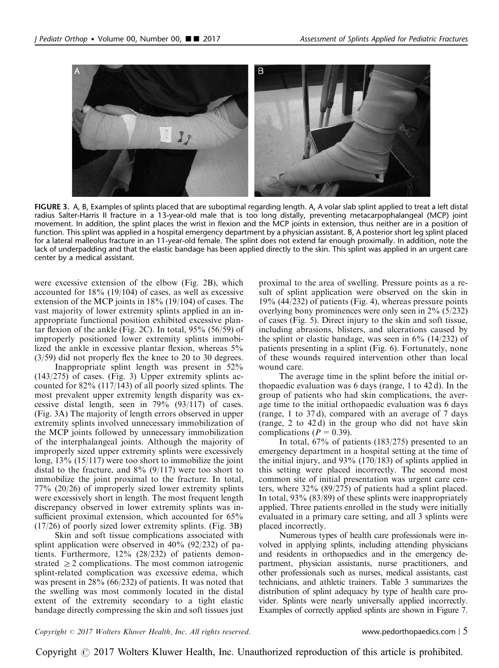

FIGURE 3. A, B, Examples of splints placed that are suboptimal regarding length. A, A volar slab splint applied to treat a left distal radius Salter-Harris II fracture in a 13-year-old male that is too long distally, preventing metacarpophalangeal (MCP) joint movement. In addition, the splint places the wrist in flexion and the MCP joints in extension, thus neither are in a position of function. This splint was applied in a hospital emergency department by a physician assistant. B, A posterior short leg splint placed for a lateral malleolus fracture in an 11-year-old female. The splint does not extend far enough proximally. In addition, note the lack of underpadding and that the elastic bandage has been applied directly to the skin. This splint was applied in an urgent care center by a medical assistant.

were excessive extension of the elbow [\(Fig. 2B\)](#page-3-0), which accounted for 18% (19/104) of cases, as well as excessive extension of the MCP joints in 18% (19/104) of cases. The vast majority of lower extremity splints applied in an inappropriate functional position exhibited excessive plantar flexion of the ankle [\(Fig. 2C](#page-3-0)). In total, 95% (56/59) of improperly positioned lower extremity splints immobilized the ankle in excessive plantar flexion, whereas 5% (3/59) did not properly flex the knee to 20 to 30 degrees.

Inappropriate splint length was present in 52% (143/275) of cases. (Fig. 3) Upper extremity splints accounted for 82% (117/143) of all poorly sized splints. The most prevalent upper extremity length disparity was excessive distal length, seen in 79% (93/117) of cases. (Fig. 3A) The majority of length errors observed in upper extremity splints involved unnecessary immobilization of the MCP joints followed by unnecessary immobilization of the interphalangeal joints. Although the majority of improperly sized upper extremity splints were excessively long, 13% (15/117) were too short to immobilize the joint distal to the fracture, and  $8\%$  (9/117) were too short to immobilize the joint proximal to the fracture. In total, 77% (20/26) of improperly sized lower extremity splints were excessively short in length. The most frequent length discrepancy observed in lower extremity splints was insufficient proximal extension, which accounted for 65% (17/26) of poorly sized lower extremity splints. (Fig. 3B)

Skin and soft tissue complications associated with splint application were observed in 40% (92/232) of patients. Furthermore, 12% (28/232) of patients demonstrated  $\geq$  2 complications. The most common iatrogenic splint-related complication was excessive edema, which was present in 28% (66/232) of patients. It was noted that the swelling was most commonly located in the distal extent of the extremity secondary to a tight elastic bandage directly compressing the skin and soft tissues just

proximal to the area of swelling. Pressure points as a result of splint application were observed on the skin in 19% (44/232) of patients [\(Fig. 4](#page-5-0)), whereas pressure points overlying bony prominences were only seen in 2% (5/232) of cases [\(Fig. 5](#page-5-0)). Direct injury to the skin and soft tissue, including abrasions, blisters, and ulcerations caused by the splint or elastic bandage, was seen in  $6\%$  (14/232) of patients presenting in a splint ([Fig. 6\)](#page-6-0). Fortunately, none of these wounds required intervention other than local wound care.

The average time in the splint before the initial orthopaedic evaluation was 6 days (range, 1 to 42 d). In the group of patients who had skin complications, the average time to the initial orthopaedic evaluation was 6 days (range, 1 to 37 d), compared with an average of 7 days (range, 2 to 42 d) in the group who did not have skin complications ( $P = 0.39$ ).

In total, 67% of patients (183/275) presented to an emergency department in a hospital setting at the time of the initial injury, and  $93\%$  (170/183) of splints applied in this setting were placed incorrectly. The second most common site of initial presentation was urgent care centers, where 32% (89/275) of patients had a splint placed. In total, 93% (83/89) of these splints were inappropriately applied. Three patients enrolled in the study were initially evaluated in a primary care setting, and all 3 splints were placed incorrectly.

Numerous types of health care professionals were involved in applying splints, including attending physicians and residents in orthopaedics and in the emergency department, physician assistants, nurse practitioners, and other professionals such as nurses, medical assistants, cast technicians, and athletic trainers. [Table 3](#page-6-0) summarizes the distribution of splint adequacy by type of health care provider. Splints were nearly universally applied incorrectly. Examples of correctly applied splints are shown in [Figure 7.](#page-7-0)

#### $Copyright © 2017 Wolters Kluwer Health, Inc. All rights reserved.$  www.pedorthopaedics.com  $\vert 5 \rangle$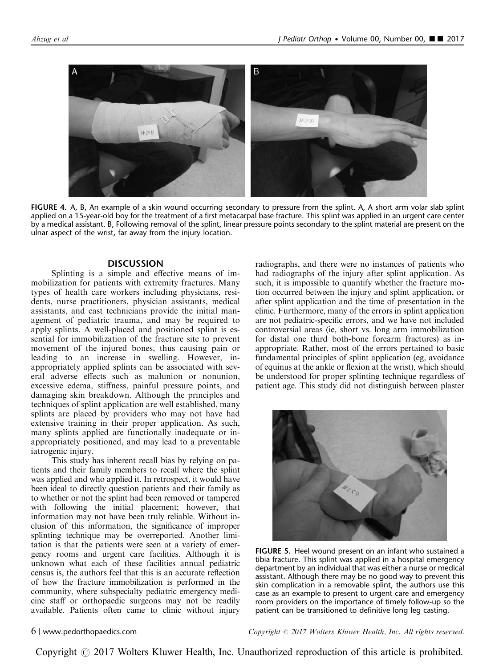<span id="page-5-0"></span>

FIGURE 4. A, B, An example of a skin wound occurring secondary to pressure from the splint. A, A short arm volar slab splint applied on a 15-year-old boy for the treatment of a first metacarpal base fracture. This splint was applied in an urgent care center by a medical assistant. B, Following removal of the splint, linear pressure points secondary to the splint material are present on the ulnar aspect of the wrist, far away from the injury location.

#### **DISCUSSION**

Splinting is a simple and effective means of immobilization for patients with extremity fractures. Many types of health care workers including physicians, residents, nurse practitioners, physician assistants, medical assistants, and cast technicians provide the initial management of pediatric trauma, and may be required to apply splints. A well-placed and positioned splint is essential for immobilization of the fracture site to prevent movement of the injured bones, thus causing pain or leading to an increase in swelling. However, inappropriately applied splints can be associated with several adverse effects such as malunion or nonunion, excessive edema, stiffness, painful pressure points, and damaging skin breakdown. Although the principles and techniques of splint application are well established, many splints are placed by providers who may not have had extensive training in their proper application. As such, many splints applied are functionally inadequate or inappropriately positioned, and may lead to a preventable iatrogenic injury.

This study has inherent recall bias by relying on patients and their family members to recall where the splint was applied and who applied it. In retrospect, it would have been ideal to directly question patients and their family as to whether or not the splint had been removed or tampered with following the initial placement; however, that information may not have been truly reliable. Without inclusion of this information, the significance of improper splinting technique may be overreported. Another limitation is that the patients were seen at a variety of emergency rooms and urgent care facilities. Although it is unknown what each of these facilities annual pediatric census is, the authors feel that this is an accurate reflection of how the fracture immobilization is performed in the community, where subspecialty pediatric emergency medicine staff or orthopaedic surgeons may not be readily available. Patients often came to clinic without injury radiographs, and there were no instances of patients who had radiographs of the injury after splint application. As such, it is impossible to quantify whether the fracture motion occurred between the injury and splint application, or after splint application and the time of presentation in the clinic. Furthermore, many of the errors in splint application are not pediatric-specific errors, and we have not included controversial areas (ie, short vs. long arm immobilization for distal one third both-bone forearm fractures) as inappropriate. Rather, most of the errors pertained to basic fundamental principles of splint application (eg, avoidance of equinus at the ankle or flexion at the wrist), which should be understood for proper splinting technique regardless of patient age. This study did not distinguish between plaster



FIGURE 5. Heel wound present on an infant who sustained a tibia fracture. This splint was applied in a hospital emergency department by an individual that was either a nurse or medical assistant. Although there may be no good way to prevent this skin complication in a removable splint, the authors use this case as an example to present to urgent care and emergency room providers on the importance of timely follow-up so the patient can be transitioned to definitive long leg casting.

6 | www.pedorthopaedics.com  $Copyright \odot 2017 \; Wolters \; Kluwer \; Health, Inc. \; All \; rights \; reserved.$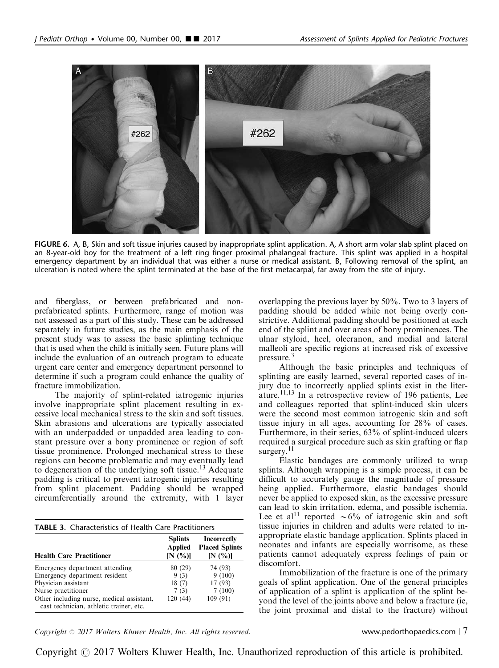<span id="page-6-0"></span>

FIGURE 6. A, B, Skin and soft tissue injuries caused by inappropriate splint application. A, A short arm volar slab splint placed on an 8-year-old boy for the treatment of a left ring finger proximal phalangeal fracture. This splint was applied in a hospital emergency department by an individual that was either a nurse or medical assistant. B, Following removal of the splint, an ulceration is noted where the splint terminated at the base of the first metacarpal, far away from the site of injury.

and fiberglass, or between prefabricated and nonprefabricated splints. Furthermore, range of motion was not assessed as a part of this study. These can be addressed separately in future studies, as the main emphasis of the present study was to assess the basic splinting technique that is used when the child is initially seen. Future plans will include the evaluation of an outreach program to educate urgent care center and emergency department personnel to determine if such a program could enhance the quality of fracture immobilization.

The majority of splint-related iatrogenic injuries involve inappropriate splint placement resulting in excessive local mechanical stress to the skin and soft tissues. Skin abrasions and ulcerations are typically associated with an underpadded or unpadded area leading to constant pressure over a bony prominence or region of soft tissue prominence. Prolonged mechanical stress to these regions can become problematic and may eventually lead to degeneration of the underlying soft tissue.<sup>[13](#page-8-0)</sup> Adequate padding is critical to prevent iatrogenic injuries resulting from splint placement. Padding should be wrapped circumferentially around the extremity, with 1 layer

| <b>Health Care Practitioner</b>                                                      | <b>Splints</b><br><b>Applied</b><br>[N(%)] | Incorrectly<br><b>Placed Splints</b><br>[N(%)] |
|--------------------------------------------------------------------------------------|--------------------------------------------|------------------------------------------------|
| Emergency department attending                                                       | 80 (29)                                    | 74 (93)                                        |
| Emergency department resident                                                        | 9(3)                                       | 9(100)                                         |
| Physician assistant                                                                  | 18(7)                                      | 17(93)                                         |
| Nurse practitioner                                                                   | 7(3)                                       | 7(100)                                         |
| Other including nurse, medical assistant,<br>cast technician, athletic trainer, etc. | 120 (44)                                   | 109 (91)                                       |

overlapping the previous layer by 50%. Two to 3 layers of padding should be added while not being overly constrictive. Additional padding should be positioned at each end of the splint and over areas of bony prominences. The ulnar styloid, heel, olecranon, and medial and lateral malleoli are specific regions at increased risk of excessive pressure.<sup>[3](#page-8-0)</sup>

Although the basic principles and techniques of splinting are easily learned, several reported cases of injury due to incorrectly applied splints exist in the literature.[11,13](#page-8-0) In a retrospective review of 196 patients, Lee and colleagues reported that splint-induced skin ulcers were the second most common iatrogenic skin and soft tissue injury in all ages, accounting for 28% of cases. Furthermore, in their series, 63% of splint-induced ulcers required a surgical procedure such as skin grafting or flap surgery.<sup>[11](#page-8-0)</sup>

Elastic bandages are commonly utilized to wrap splints. Although wrapping is a simple process, it can be difficult to accurately gauge the magnitude of pressure being applied. Furthermore, elastic bandages should never be applied to exposed skin, as the excessive pressure can lead to skin irritation, edema, and possible ischemia. Lee et al<sup>[11](#page-8-0)</sup> reported  $\sim 6\%$  of iatrogenic skin and soft tissue injuries in children and adults were related to inappropriate elastic bandage application. Splints placed in neonates and infants are especially worrisome, as these patients cannot adequately express feelings of pain or discomfort.

Immobilization of the fracture is one of the primary goals of splint application. One of the general principles of application of a splint is application of the splint beyond the level of the joints above and below a fracture (ie, the joint proximal and distal to the fracture) without

 $Copyright © 2017 Wolters Kluwer Health, Inc. All rights reserved.$  www.pedorthopaedics.com | 7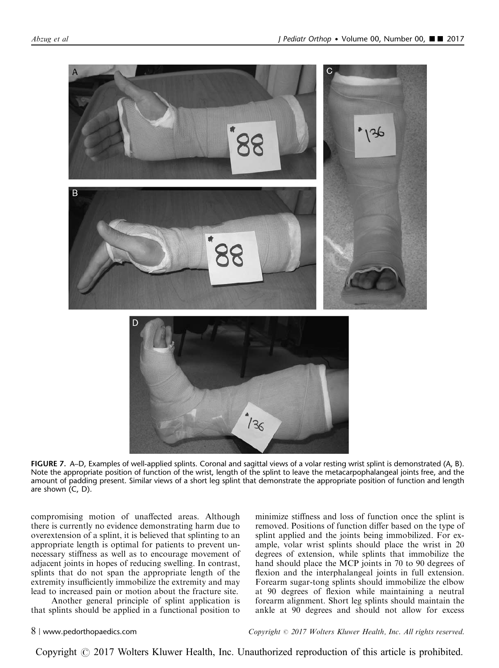<span id="page-7-0"></span>

FIGURE 7. A–D, Examples of well-applied splints. Coronal and sagittal views of a volar resting wrist splint is demonstrated (A, B). Note the appropriate position of function of the wrist, length of the splint to leave the metacarpophalangeal joints free, and the amount of padding present. Similar views of a short leg splint that demonstrate the appropriate position of function and length are shown (C, D).

compromising motion of unaffected areas. Although there is currently no evidence demonstrating harm due to overextension of a splint, it is believed that splinting to an appropriate length is optimal for patients to prevent unnecessary stiffness as well as to encourage movement of adjacent joints in hopes of reducing swelling. In contrast, splints that do not span the appropriate length of the extremity insufficiently immobilize the extremity and may lead to increased pain or motion about the fracture site.

Another general principle of splint application is that splints should be applied in a functional position to minimize stiffness and loss of function once the splint is removed. Positions of function differ based on the type of splint applied and the joints being immobilized. For example, volar wrist splints should place the wrist in 20 degrees of extension, while splints that immobilize the hand should place the MCP joints in 70 to 90 degrees of flexion and the interphalangeal joints in full extension. Forearm sugar-tong splints should immobilize the elbow at 90 degrees of flexion while maintaining a neutral forearm alignment. Short leg splints should maintain the ankle at 90 degrees and should not allow for excess

8 | www.pedorthopaedics.com Copyright © 2017 Wolters Kluwer Health, Inc. All rights reserved.